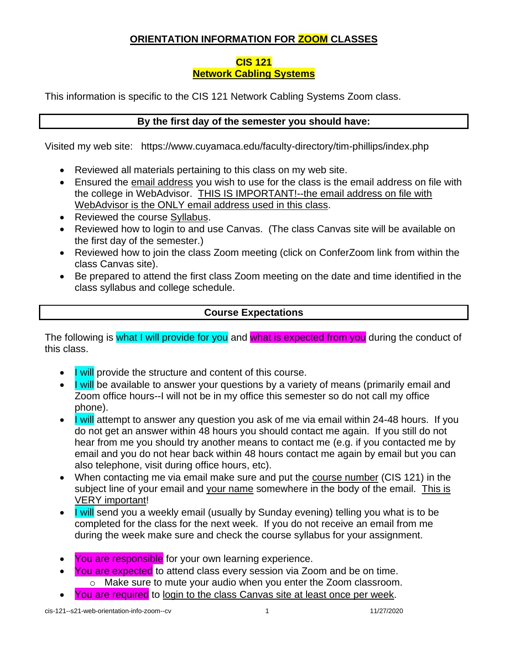# **ORIENTATION INFORMATION FOR ZOOM CLASSES**

#### **CIS 121 Network Cabling Systems**

This information is specific to the CIS 121 Network Cabling Systems Zoom class.

### **By the first day of the semester you should have:**

Visited my web site: <https://www.cuyamaca.edu/faculty-directory/tim-phillips/index.php>

- Reviewed all materials pertaining to this class on my web site.
- Ensured the email address you wish to use for the class is the email address on file with the college in WebAdvisor. THIS IS IMPORTANT!--the email address on file with WebAdvisor is the ONLY email address used in this class.
- Reviewed the course Syllabus.
- Reviewed how to login to and use Canvas. (The class Canvas site will be available on the first day of the semester.)
- Reviewed how to join the class Zoom meeting (click on ConferZoom link from within the class Canvas site).
- Be prepared to attend the first class Zoom meeting on the date and time identified in the class syllabus and college schedule.

# **Course Expectations**

The following is what I will provide for you and what is expected from you during the conduct of this class.

- I will provide the structure and content of this course.
- I will be available to answer your questions by a variety of means (primarily email and Zoom office hours--I will not be in my office this semester so do not call my office phone).
- I will attempt to answer any question you ask of me via email within 24-48 hours. If you do not get an answer within 48 hours you should contact me again. If you still do not hear from me you should try another means to contact me (e.g. if you contacted me by email and you do not hear back within 48 hours contact me again by email but you can also telephone, visit during office hours, etc).
- When contacting me via email make sure and put the course number (CIS 121) in the subject line of your email and your name somewhere in the body of the email. This is VERY important!
- I will send you a weekly email (usually by Sunday evening) telling you what is to be completed for the class for the next week. If you do not receive an email from me during the week make sure and check the course syllabus for your assignment.
- You are responsible for your own learning experience.
- You are expected to attend class every session via Zoom and be on time.
	- o Make sure to mute your audio when you enter the Zoom classroom.
- You are required to login to the class Canvas site at least once per week.